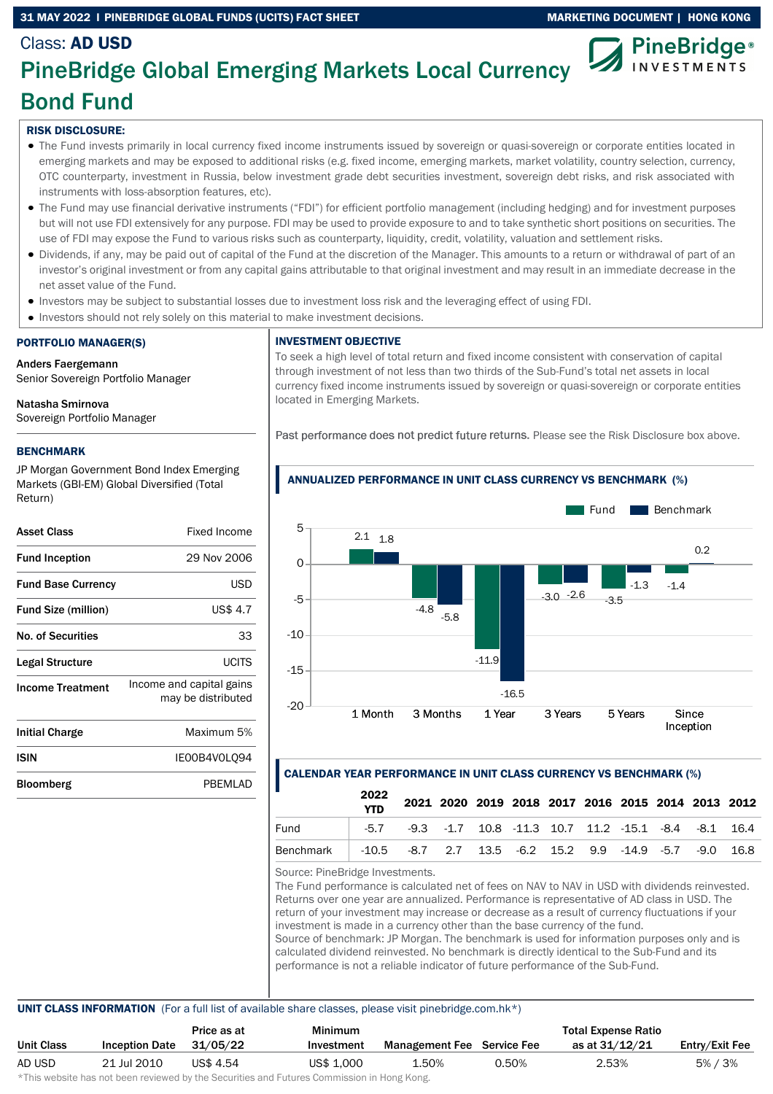### 31 MAY 2022 I PINEBRIDGE GLOBAL FUNDS (UCITS) FACT SHEET MARKETING DOCUMENT | HONG KONG



# Class: AD USD PineBridge Global Emerging Markets Local Currency Bond Fund

# RISK DISCLOSURE:

- The Fund invests primarily in local currency fixed income instruments issued by sovereign or quasi-sovereign or corporate entities located in emerging markets and may be exposed to additional risks (e.g. fixed income, emerging markets, market volatility, country selection, currency, OTC counterparty, investment in Russia, below investment grade debt securities investment, sovereign debt risks, and risk associated with instruments with loss-absorption features, etc).
- The Fund may use financial derivative instruments ("FDI") for efficient portfolio management (including hedging) and for investment purposes but will not use FDI extensively for any purpose. FDI may be used to provide exposure to and to take synthetic short positions on securities. The use of FDI may expose the Fund to various risks such as counterparty, liquidity, credit, volatility, valuation and settlement risks.
- Dividends, if any, may be paid out of capital of the Fund at the discretion of the Manager. This amounts to a return or withdrawal of part of an investor's original investment or from any capital gains attributable to that original investment and may result in an immediate decrease in the net asset value of the Fund.
- Investors may be subject to substantial losses due to investment loss risk and the leveraging effect of using FDI.
- Investors should not rely solely on this material to make investment decisions.

# PORTFOLIO MANAGER(S)

Anders Faergemann Senior Sovereign Portfolio Manager

# Natasha Smirnova

Sovereign Portfolio Manager

# BENCHMARK

JP Morgan Government Bond Index Emerging Markets (GBI-EM) Global Diversified (Total Return)

| <b>Asset Class</b>         | Fixed Income                                   |
|----------------------------|------------------------------------------------|
| <b>Fund Inception</b>      | 29 Nov 2006                                    |
| <b>Fund Base Currency</b>  | USD                                            |
| <b>Fund Size (million)</b> | <b>US\$ 4.7</b>                                |
| <b>No. of Securities</b>   | 33                                             |
| Legal Structure            | UCITS                                          |
| <b>Income Treatment</b>    | Income and capital gains<br>may be distributed |
| <b>Initial Charge</b>      | Maximum 5%                                     |
| ISIN                       | IE00B4V0L094                                   |
| Bloomberg                  | PBEMLAD                                        |

### INVESTMENT OBJECTIVE

To seek a high level of total return and fixed income consistent with conservation of capital through investment of not less than two thirds of the Sub-Fund's total net assets in local currency fixed income instruments issued by sovereign or quasi-sovereign or corporate entities located in Emerging Markets.

Past performance does not predict future returns. Please see the Risk Disclosure box above.



### ANNUALIZED PERFORMANCE IN UNIT CLASS CURRENCY VS BENCHMARK (%)

# CALENDAR YEAR PERFORMANCE IN UNIT CLASS CURRENCY VS BENCHMARK (%)

|                                                                    | 2022<br><b>YTD</b> |                                                                                |  |  |  |  | 2021 2020 2019 2018 2017 2016 2015 2014 2013 2012 |
|--------------------------------------------------------------------|--------------------|--------------------------------------------------------------------------------|--|--|--|--|---------------------------------------------------|
| Fund                                                               |                    | $-5.7$ $-9.3$ $-1.7$ $10.8$ $-11.3$ $10.7$ $11.2$ $-15.1$ $-8.4$ $-8.1$ $16.4$ |  |  |  |  |                                                   |
| Benchmark   -10.5 -8.7 2.7 13.5 -6.2 15.2 9.9 -14.9 -5.7 -9.0 16.8 |                    |                                                                                |  |  |  |  |                                                   |

Source: PineBridge Investments.

The Fund performance is calculated net of fees on NAV to NAV in USD with dividends reinvested. Returns over one year are annualized. Performance is representative of AD class in USD. The return of your investment may increase or decrease as a result of currency fluctuations if your investment is made in a currency other than the base currency of the fund. Source of benchmark: JP Morgan. The benchmark is used for information purposes only and is calculated dividend reinvested. No benchmark is directly identical to the Sub-Fund and its performance is not a reliable indicator of future performance of the Sub-Fund.

### UNIT CLASS INFORMATION (For a full list of available share classes, please visit pinebridge.com.hk\*)

|            |                       | Price as at | <b>Minimum</b>                                                                                                 |                                   |       | <b>Total Expense Ratio</b> |                |
|------------|-----------------------|-------------|----------------------------------------------------------------------------------------------------------------|-----------------------------------|-------|----------------------------|----------------|
| Unit Class | <b>Inception Date</b> | 31/05/22    | Investment                                                                                                     | <b>Management Fee</b> Service Fee |       | as at 31/12/21             | Entry/Exit Fee |
| AD USD     | 21 Jul 2010           | US\$ 4.54   | US\$ 1,000                                                                                                     | 1.50%                             | 0.50% | 2.53%                      | 5% / 3%        |
|            |                       |             | 3. 우리 장기 - 그리고 장기 - 그리고 그리고 그리고 그리고 그리고 그리고 그래서 그리고 그리고 그리고 그리고 그리고 아니라 그리고 그리고 그리고 그리고 그리고 그리고 그리고 그리고 그리고 그리 |                                   |       |                            |                |

\*This website has not been reviewed by the Securities and Futures Commission in Hong Kong.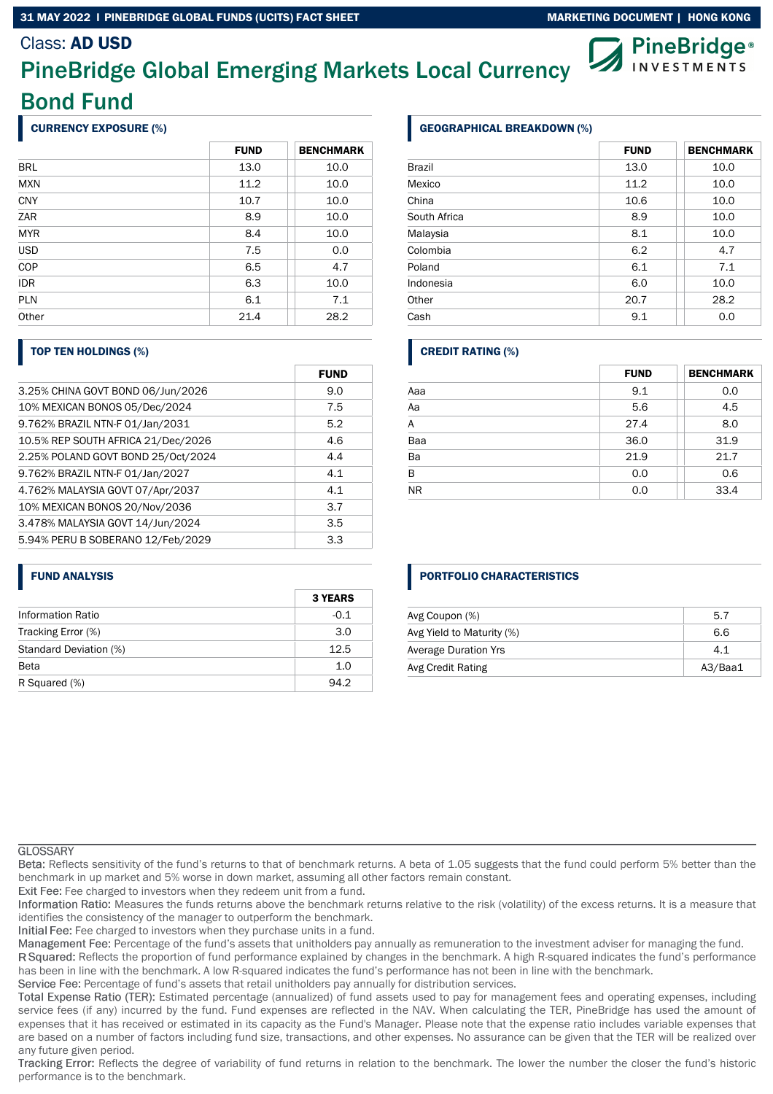### 31 MAY 2022 I PINEBRIDGE GLOBAL FUNDS (UCITS) FACT SHEET MARKETING DOCUMENT | HONG KONG

# Class: AD USD

# PineBridge Global Emerging Markets Local Currency Bond Fund

# CURRENCY EXPOSURE (%)

|            | <b>FUND</b> | <b>BENCHMARK</b> |
|------------|-------------|------------------|
| <b>BRL</b> | 13.0        | 10.0             |
| <b>MXN</b> | 11.2        | 10.0             |
| <b>CNY</b> | 10.7        | 10.0             |
| ZAR        | 8.9         | 10.0             |
| <b>MYR</b> | 8.4         | 10.0             |
| <b>USD</b> | 7.5         | 0.0              |
| COP        | 6.5         | 4.7              |
| <b>IDR</b> | 6.3         | 10.0             |
| <b>PLN</b> | 6.1         | 7.1              |
| Other      | 21.4        | 28.2             |

### TOP TEN HOLDINGS (%)

|                                    | <b>FUND</b> |
|------------------------------------|-------------|
| 3.25% CHINA GOVT BOND 06/Jun/2026  | 9.0         |
| 10% MEXICAN BONOS 05/Dec/2024      | 7.5         |
| 9.762% BRAZIL NTN-F 01/Jan/2031    | 5.2         |
| 10.5% REP SOUTH AFRICA 21/Dec/2026 | 4.6         |
| 2.25% POLAND GOVT BOND 25/Oct/2024 | 4.4         |
| 9.762% BRAZIL NTN-F 01/Jan/2027    | 4.1         |
| 4.762% MALAYSIA GOVT 07/Apr/2037   | 4.1         |
| 10% MEXICAN BONOS 20/Nov/2036      | 3.7         |
| 3.478% MALAYSIA GOVT 14/Jun/2024   | 3.5         |
| 5.94% PERU B SOBERANO 12/Feb/2029  | 3.3         |

### FUND ANALYSIS

|                        | <b>3 YEARS</b> |
|------------------------|----------------|
| Information Ratio      | $-0.1$         |
| Tracking Error (%)     | 3.0            |
| Standard Deviation (%) | 12.5           |
| <b>Beta</b>            | 1.0            |
| R Squared (%)          | 94.2           |

# GEOGRAPHICAL BREAKDOWN (%)

|              | <b>FUND</b> | <b>BENCHMARK</b> |
|--------------|-------------|------------------|
| Brazil       | 13.0        | 10.0             |
| Mexico       | 11.2        | 10.0             |
| China        | 10.6        | 10.0             |
| South Africa | 8.9         | 10.0             |
| Malaysia     | 8.1         | 10.0             |
| Colombia     | 6.2         | 4.7              |
| Poland       | 6.1         | 7.1              |
| Indonesia    | 6.0         | 10.0             |
| Other        | 20.7        | 28.2             |
| Cash         | 9.1         | 0.0              |

### CREDIT RATING (%)

|           | <b>FUND</b> | <b>BENCHMARK</b> |
|-----------|-------------|------------------|
| Aaa       | 9.1         | 0.0              |
| Aa        | 5.6         | 4.5              |
| A         | 27.4        | 8.0              |
| Baa       | 36.0        | 31.9             |
| Ba        | 21.9        | 21.7             |
| B         | 0.0         | 0.6              |
| <b>NR</b> | 0.0         | 33.4             |

### PORTFOLIO CHARACTERISTICS

| Avg Coupon (%)              | 5.7     |
|-----------------------------|---------|
| Avg Yield to Maturity (%)   | 6.6     |
| <b>Average Duration Yrs</b> | 4.1     |
| Avg Credit Rating           | A3/Baa1 |

#### **GLOSSARY**

Reflects sensitivity of the fund's returns to that of benchmark returns. A beta of 1.05 suggests that the fund could perform 5% better than the benchmark in up market and 5% worse in down market, assuming all other factors remain constant.

Exit Fee: Fee charged to investors when they redeem unit from a fund.

Information Ratio: Measures the funds returns above the benchmark returns relative to the risk (volatility) of the excess returns. It is a measure that identifies the consistency of the manager to outperform the benchmark.

Initial Fee: Fee charged to investors when they purchase units in a fund.

Management Fee: Percentage of the fund's assets that unitholders pay annually as remuneration to the investment adviser for managing the fund.

R Squared: Reflects the proportion of fund performance explained by changes in the benchmark. A high R-squared indicates the fund's performance has been in line with the benchmark. A low R-squared indicates the fund's performance has not been in line with the benchmark.

Service Fee: Percentage of fund's assets that retail unitholders pay annually for distribution services.

Total Expense Ratio (TER): Estimated percentage (annualized) of fund assets used to pay for management fees and operating expenses, including service fees (if any) incurred by the fund. Fund expenses are reflected in the NAV. When calculating the TER, PineBridge has used the amount of expenses that it has received or estimated in its capacity as the Fund's Manager. Please note that the expense ratio includes variable expenses that are based on a number of factors including fund size, transactions, and other expenses. No assurance can be given that the TER will be realized over any future given period.

Tracking Error: Reflects the degree of variability of fund returns in relation to the benchmark. The lower the number the closer the fund's historic performance is to the benchmark.